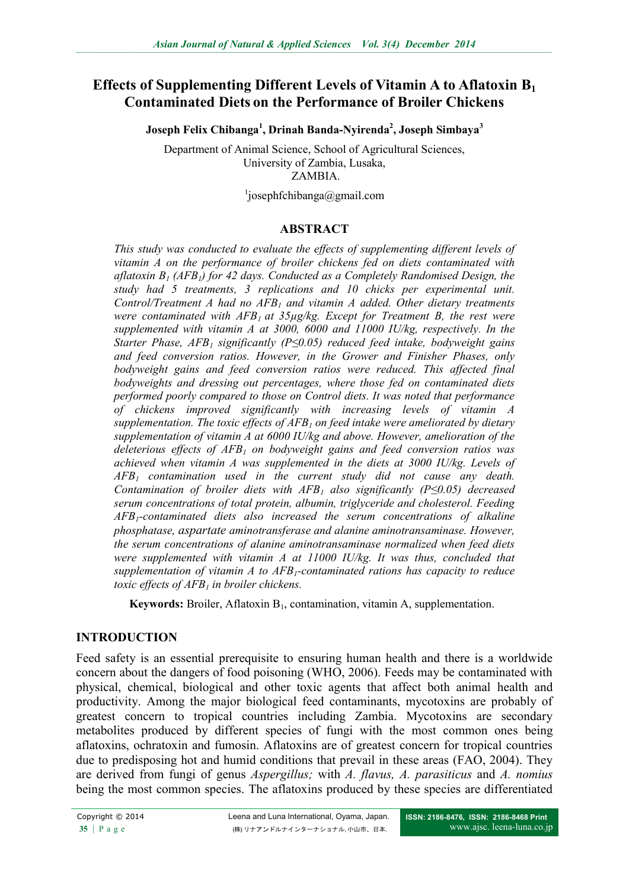# **Effects of Supplementing Different Levels of Vitamin A to Aflatoxin B<sup>1</sup> Contaminated Diets on the Performance of Broiler Chickens**

**Joseph Felix Chibanga<sup>1</sup> , Drinah Banda-Nyirenda<sup>2</sup> , Joseph Simbaya<sup>3</sup>**

Department of Animal Science, School of Agricultural Sciences, University of Zambia, Lusaka, ZAMBIA.

1 josephfchibanga@gmail.com

#### **ABSTRACT**

*This study was conducted to evaluate the effects of supplementing different levels of vitamin A on the performance of broiler chickens fed on diets contaminated with aflatoxin B<sup>1</sup> (AFB1) for 42 days. Conducted as a Completely Randomised Design, the study had 5 treatments, 3 replications and 10 chicks per experimental unit. Control/Treatment A had no AFB<sup>1</sup> and vitamin A added. Other dietary treatments were contaminated with AFB1 at 35µg/kg. Except for Treatment B, the rest were supplemented with vitamin A at 3000, 6000 and 11000 IU/kg, respectively. In the Starter Phase, AFB<sup>1</sup> significantly (P≤0.05) reduced feed intake, bodyweight gains and feed conversion ratios. However, in the Grower and Finisher Phases, only bodyweight gains and feed conversion ratios were reduced. This affected final bodyweights and dressing out percentages, where those fed on contaminated diets performed poorly compared to those on Control diets. It was noted that performance of chickens improved significantly with increasing levels of vitamin A supplementation. The toxic effects of AFB<sup>1</sup> on feed intake were ameliorated by dietary supplementation of vitamin A at 6000 IU/kg and above. However, amelioration of the deleterious effects of AFB<sup>1</sup> on bodyweight gains and feed conversion ratios was achieved when vitamin A was supplemented in the diets at 3000 IU/kg. Levels of AFB<sup>1</sup> contamination used in the current study did not cause any death. Contamination of broiler diets with AFB<sup>1</sup> also significantly (P≤0.05) decreased serum concentrations of total protein, albumin, triglyceride and cholesterol. Feeding AFB1-contaminated diets also increased the serum concentrations of alkaline phosphatase, aspartate aminotransferase and alanine aminotransaminase. However, the serum concentrations of alanine aminotransaminase normalized when feed diets were supplemented with vitamin A at 11000 IU/kg. It was thus, concluded that supplementation of vitamin A to AFB1-contaminated rations has capacity to reduce toxic effects of AFB<sup>1</sup> in broiler chickens.* 

**Keywords:** Broiler, Aflatoxin B<sub>1</sub>, contamination, vitamin A, supplementation.

### **INTRODUCTION**

Feed safety is an essential prerequisite to ensuring human health and there is a worldwide concern about the dangers of food poisoning (WHO, 2006). Feeds may be contaminated with physical, chemical, biological and other toxic agents that affect both animal health and productivity. Among the major biological feed contaminants, mycotoxins are probably of greatest concern to tropical countries including Zambia. Mycotoxins are secondary metabolites produced by different species of fungi with the most common ones being aflatoxins, ochratoxin and fumosin. Aflatoxins are of greatest concern for tropical countries due to predisposing hot and humid conditions that prevail in these areas (FAO, 2004). They are derived from fungi of genus *Aspergillus;* with *A. flavus, A. parasiticus* and *A. nomius*  being the most common species. The aflatoxins produced by these species are differentiated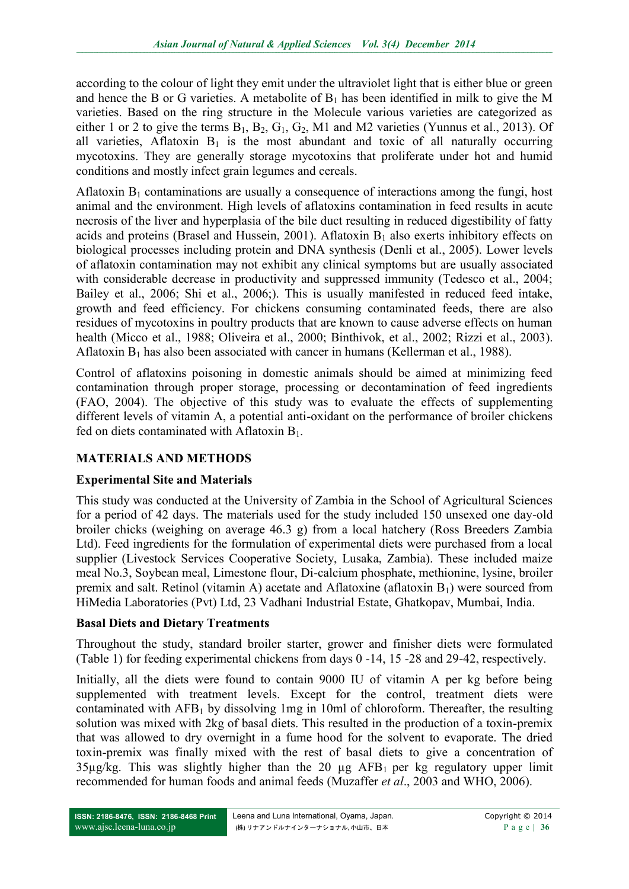according to the colour of light they emit under the ultraviolet light that is either blue or green and hence the B or G varieties. A metabolite of  $B_1$  has been identified in milk to give the M varieties. Based on the ring structure in the Molecule various varieties are categorized as either 1 or 2 to give the terms  $B_1$ ,  $B_2$ ,  $G_1$ ,  $G_2$ , M1 and M2 varieties (Yunnus et al., 2013). Of all varieties, Aflatoxin  $B_1$  is the most abundant and toxic of all naturally occurring mycotoxins. They are generally storage mycotoxins that proliferate under hot and humid conditions and mostly infect grain legumes and cereals.

Aflatoxin  $B_1$  contaminations are usually a consequence of interactions among the fungi, host animal and the environment. High levels of aflatoxins contamination in feed results in acute necrosis of the liver and hyperplasia of the bile duct resulting in reduced digestibility of fatty acids and proteins (Brasel and Hussein, 2001). Aflatoxin  $B_1$  also exerts inhibitory effects on biological processes including protein and DNA synthesis (Denli et al., 2005). Lower levels of aflatoxin contamination may not exhibit any clinical symptoms but are usually associated with considerable decrease in productivity and suppressed immunity (Tedesco et al., 2004; Bailey et al., 2006; Shi et al., 2006;). This is usually manifested in reduced feed intake, growth and feed efficiency. For chickens consuming contaminated feeds, there are also residues of mycotoxins in poultry products that are known to cause adverse effects on human health (Micco et al., 1988; Oliveira et al., 2000; Binthivok, et al., 2002; Rizzi et al., 2003). Aflatoxin  $B_1$  has also been associated with cancer in humans (Kellerman et al., 1988).

Control of aflatoxins poisoning in domestic animals should be aimed at minimizing feed contamination through proper storage, processing or decontamination of feed ingredients (FAO, 2004). The objective of this study was to evaluate the effects of supplementing different levels of vitamin A, a potential anti-oxidant on the performance of broiler chickens fed on diets contaminated with Aflatoxin  $B_1$ .

# **MATERIALS AND METHODS**

# **Experimental Site and Materials**

This study was conducted at the University of Zambia in the School of Agricultural Sciences for a period of 42 days. The materials used for the study included 150 unsexed one day-old broiler chicks (weighing on average 46.3 g) from a local hatchery (Ross Breeders Zambia Ltd). Feed ingredients for the formulation of experimental diets were purchased from a local supplier (Livestock Services Cooperative Society, Lusaka, Zambia). These included maize meal No.3, Soybean meal, Limestone flour, Di-calcium phosphate, methionine, lysine, broiler premix and salt. Retinol (vitamin A) acetate and Aflatoxine (aflatoxin  $B_1$ ) were sourced from HiMedia Laboratories (Pvt) Ltd, 23 Vadhani Industrial Estate, Ghatkopav, Mumbai, India.

### **Basal Diets and Dietary Treatments**

Throughout the study, standard broiler starter, grower and finisher diets were formulated (Table 1) for feeding experimental chickens from days 0 -14, 15 -28 and 29-42, respectively.

Initially, all the diets were found to contain 9000 IU of vitamin A per kg before being supplemented with treatment levels. Except for the control, treatment diets were contaminated with  $AFB<sub>1</sub>$  by dissolving 1mg in 10ml of chloroform. Thereafter, the resulting solution was mixed with 2kg of basal diets. This resulted in the production of a toxin-premix that was allowed to dry overnight in a fume hood for the solvent to evaporate. The dried toxin-premix was finally mixed with the rest of basal diets to give a concentration of  $35\mu g/kg$ . This was slightly higher than the 20  $\mu g$  AFB<sub>1</sub> per kg regulatory upper limit recommended for human foods and animal feeds (Muzaffer *et al*., 2003 and WHO, 2006).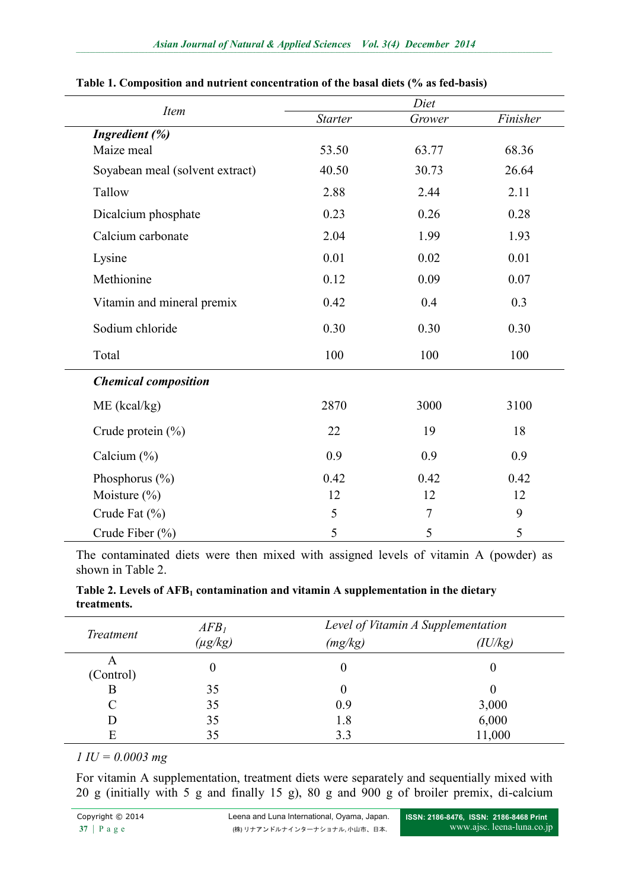|                                 | Diet           |        |          |  |
|---------------------------------|----------------|--------|----------|--|
| <b>Item</b>                     | <b>Starter</b> | Grower | Finisher |  |
| Ingredient (%)                  |                |        |          |  |
| Maize meal                      | 53.50          | 63.77  | 68.36    |  |
| Soyabean meal (solvent extract) | 40.50          | 30.73  | 26.64    |  |
| Tallow                          | 2.88           | 2.44   | 2.11     |  |
| Dicalcium phosphate             | 0.23           | 0.26   | 0.28     |  |
| Calcium carbonate               | 2.04           | 1.99   | 1.93     |  |
| Lysine                          | 0.01           | 0.02   | 0.01     |  |
| Methionine                      | 0.12           | 0.09   | 0.07     |  |
| Vitamin and mineral premix      | 0.42           | 0.4    | 0.3      |  |
| Sodium chloride                 | 0.30           | 0.30   | 0.30     |  |
| Total                           | 100<br>100     |        | 100      |  |
| <b>Chemical composition</b>     |                |        |          |  |
| $ME$ (kcal/kg)                  | 2870           | 3000   | 3100     |  |
| Crude protein $(\% )$           | 22             | 19     | 18       |  |
| Calcium $(\% )$                 | 0.9            | 0.9    | 0.9      |  |
| Phosphorus $(\% )$              | 0.42           | 0.42   | 0.42     |  |
| Moisture $(\% )$                | 12             | 12     | 12       |  |
| Crude Fat (%)                   | 5              | $\tau$ | 9        |  |
| Crude Fiber (%)                 | 5              | 5      | 5        |  |

#### **Table 1. Composition and nutrient concentration of the basal diets (% as fed-basis)**

The contaminated diets were then mixed with assigned levels of vitamin A (powder) as shown in Table 2.

| Table 2. Levels of AFB <sub>1</sub> contamination and vitamin A supplementation in the dietary |
|------------------------------------------------------------------------------------------------|
| treatments.                                                                                    |

| Treatment | AFB <sub>I</sub> |         | Level of Vitamin A Supplementation |  |  |
|-----------|------------------|---------|------------------------------------|--|--|
|           | $(\mu g/kg)$     | (mg/kg) | (IU/kg)                            |  |  |
| (Control) |                  |         |                                    |  |  |
| В         | 35               |         |                                    |  |  |
|           | 35               | 0.9     | 3,000                              |  |  |
|           | 35               | 1.8     | 6,000                              |  |  |
|           | 35               | 3.3     | 11,000                             |  |  |

## *1 IU = 0.0003 mg*

For vitamin A supplementation, treatment diets were separately and sequentially mixed with 20 g (initially with 5 g and finally 15 g), 80 g and 900 g of broiler premix, di-calcium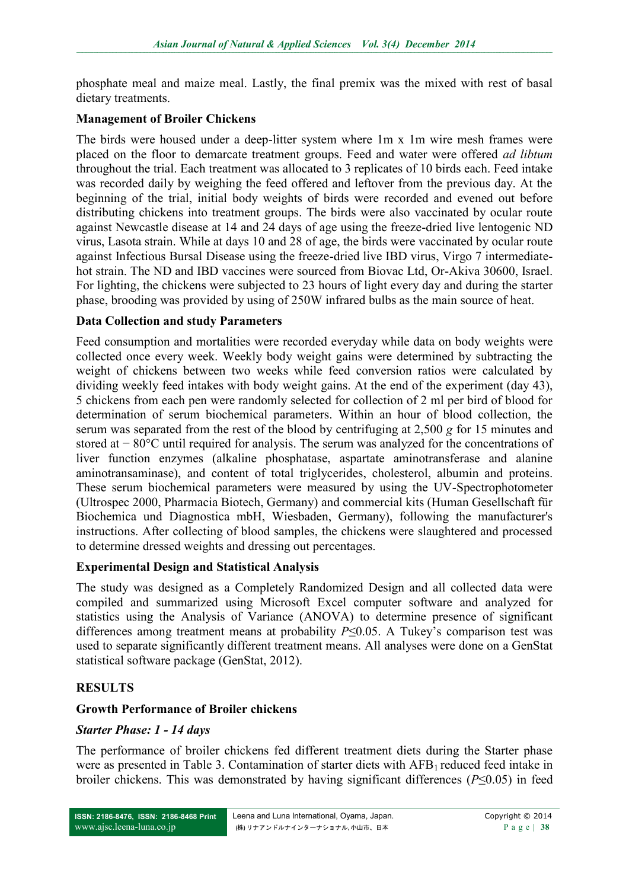phosphate meal and maize meal. Lastly, the final premix was the mixed with rest of basal dietary treatments.

### **Management of Broiler Chickens**

The birds were housed under a deep-litter system where 1m x 1m wire mesh frames were placed on the floor to demarcate treatment groups. Feed and water were offered *ad libtum* throughout the trial. Each treatment was allocated to 3 replicates of 10 birds each. Feed intake was recorded daily by weighing the feed offered and leftover from the previous day. At the beginning of the trial, initial body weights of birds were recorded and evened out before distributing chickens into treatment groups. The birds were also vaccinated by ocular route against Newcastle disease at 14 and 24 days of age using the freeze-dried live lentogenic ND virus, Lasota strain. While at days 10 and 28 of age, the birds were vaccinated by ocular route against Infectious Bursal Disease using the freeze-dried live IBD virus, Virgo 7 intermediatehot strain. The ND and IBD vaccines were sourced from Biovac Ltd, Or-Akiva 30600, Israel. For lighting, the chickens were subjected to 23 hours of light every day and during the starter phase, brooding was provided by using of 250W infrared bulbs as the main source of heat.

#### **Data Collection and study Parameters**

Feed consumption and mortalities were recorded everyday while data on body weights were collected once every week. Weekly body weight gains were determined by subtracting the weight of chickens between two weeks while feed conversion ratios were calculated by dividing weekly feed intakes with body weight gains. At the end of the experiment (day 43), 5 chickens from each pen were randomly selected for collection of 2 ml per bird of blood for determination of serum biochemical parameters. Within an hour of blood collection, the serum was separated from the rest of the blood by centrifuging at 2,500 *g* for 15 minutes and stored at − 80°C until required for analysis. The serum was analyzed for the concentrations of liver function enzymes (alkaline phosphatase, aspartate aminotransferase and alanine aminotransaminase), and content of total triglycerides, cholesterol, albumin and proteins. These serum biochemical parameters were measured by using the UV-Spectrophotometer (Ultrospec 2000, Pharmacia Biotech, Germany) and commercial kits (Human Gesellschaft für Biochemica und Diagnostica mbH, Wiesbaden, Germany), following the manufacturer's instructions. After collecting of blood samples, the chickens were slaughtered and processed to determine dressed weights and dressing out percentages.

### **Experimental Design and Statistical Analysis**

The study was designed as a Completely Randomized Design and all collected data were compiled and summarized using Microsoft Excel computer software and analyzed for statistics using the Analysis of Variance (ANOVA) to determine presence of significant differences among treatment means at probability *P*≤0.05. A Tukey's comparison test was used to separate significantly different treatment means. All analyses were done on a GenStat statistical software package (GenStat, 2012).

### **RESULTS**

### **Growth Performance of Broiler chickens**

#### *Starter Phase: 1 - 14 days*

The performance of broiler chickens fed different treatment diets during the Starter phase were as presented in Table 3. Contamination of starter diets with  $AFB<sub>1</sub>$  reduced feed intake in broiler chickens. This was demonstrated by having significant differences (*P*≤0.05) in feed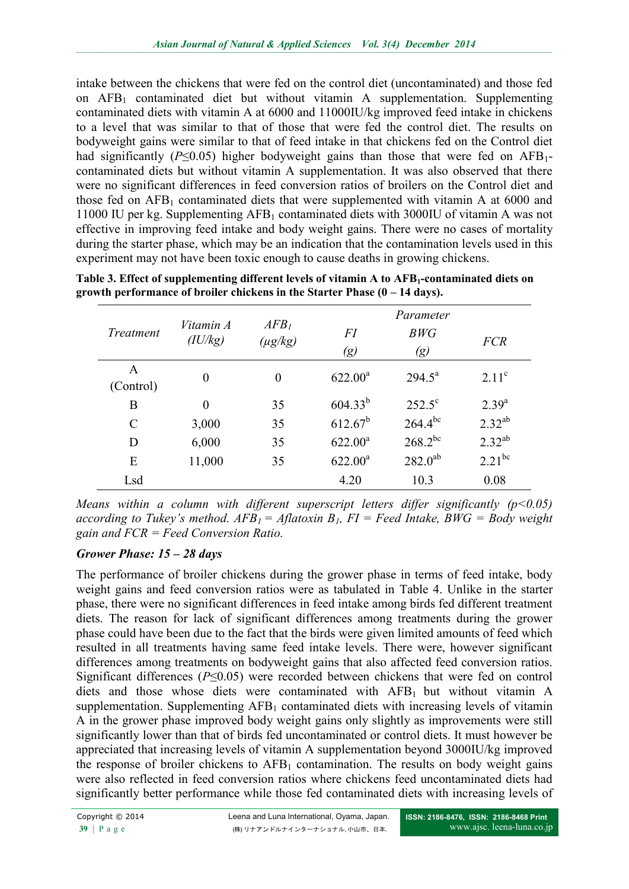intake between the chickens that were fed on the control diet (uncontaminated) and those fed on AFB<sup>1</sup> contaminated diet but without vitamin A supplementation. Supplementing contaminated diets with vitamin A at 6000 and 11000IU/kg improved feed intake in chickens to a level that was similar to that of those that were fed the control diet. The results on bodyweight gains were similar to that of feed intake in that chickens fed on the Control diet had significantly ( $P \le 0.05$ ) higher bodyweight gains than those that were fed on AFB<sub>1</sub>contaminated diets but without vitamin A supplementation. It was also observed that there were no significant differences in feed conversion ratios of broilers on the Control diet and those fed on  $AFB<sub>1</sub>$  contaminated diets that were supplemented with vitamin A at 6000 and 11000 IU per kg. Supplementing AFB<sup>1</sup> contaminated diets with 3000IU of vitamin A was not effective in improving feed intake and body weight gains. There were no cases of mortality during the starter phase, which may be an indication that the contamination levels used in this experiment may not have been toxic enough to cause deaths in growing chickens.

| <i>Treatment</i> | Vitamin A<br>(IU/kg) | AFB <sub>1</sub><br>$(\mu g/kg)$ | FI<br>$\left( g\right)$ | Parameter<br>BWG<br>$\left( g\right)$ | <b>FCR</b>        |
|------------------|----------------------|----------------------------------|-------------------------|---------------------------------------|-------------------|
| A<br>(Control)   | $\theta$             | $\overline{0}$                   | $622.00^a$              | $294.5^{\text{a}}$                    | 2.11 <sup>c</sup> |
| B                | $\theta$             | 35                               | $604.33^{b}$            | $252.5^{\circ}$                       | $2.39^{a}$        |
| C                | 3,000                | 35                               | $612.67^b$              | $264.4^{bc}$                          | $2.32^{ab}$       |
| D                | 6,000                | 35                               | $622.00^a$              | $268.2^{bc}$                          | $2.32^{ab}$       |
| E                | 11,000               | 35                               | $622.00^a$              | $282.0^{ab}$                          | $2.21^{bc}$       |
| Lsd              |                      |                                  | 4.20                    | 10.3                                  | 0.08              |

**Table 3. Effect of supplementing different levels of vitamin A to AFB1-contaminated diets on growth performance of broiler chickens in the Starter Phase (0 – 14 days).**

*Means within a column with different superscript letters differ significantly (p<0.05) according to Tukey's method.*  $AFB<sub>1</sub> = Aflatoxin B<sub>1</sub>$ *,*  $FI = Feed Intake$ *,*  $BWG = Body weight$ *gain and FCR = Feed Conversion Ratio.*

### *Grower Phase: 15 – 28 days*

The performance of broiler chickens during the grower phase in terms of feed intake, body weight gains and feed conversion ratios were as tabulated in Table 4. Unlike in the starter phase, there were no significant differences in feed intake among birds fed different treatment diets. The reason for lack of significant differences among treatments during the grower phase could have been due to the fact that the birds were given limited amounts of feed which resulted in all treatments having same feed intake levels. There were, however significant differences among treatments on bodyweight gains that also affected feed conversion ratios. Significant differences (*P*≤0.05) were recorded between chickens that were fed on control diets and those whose diets were contaminated with  $AFB<sub>1</sub>$  but without vitamin A supplementation. Supplementing  $AFB<sub>1</sub>$  contaminated diets with increasing levels of vitamin A in the grower phase improved body weight gains only slightly as improvements were still significantly lower than that of birds fed uncontaminated or control diets. It must however be appreciated that increasing levels of vitamin A supplementation beyond 3000IU/kg improved the response of broiler chickens to  $AFB<sub>1</sub>$  contamination. The results on body weight gains were also reflected in feed conversion ratios where chickens feed uncontaminated diets had significantly better performance while those fed contaminated diets with increasing levels of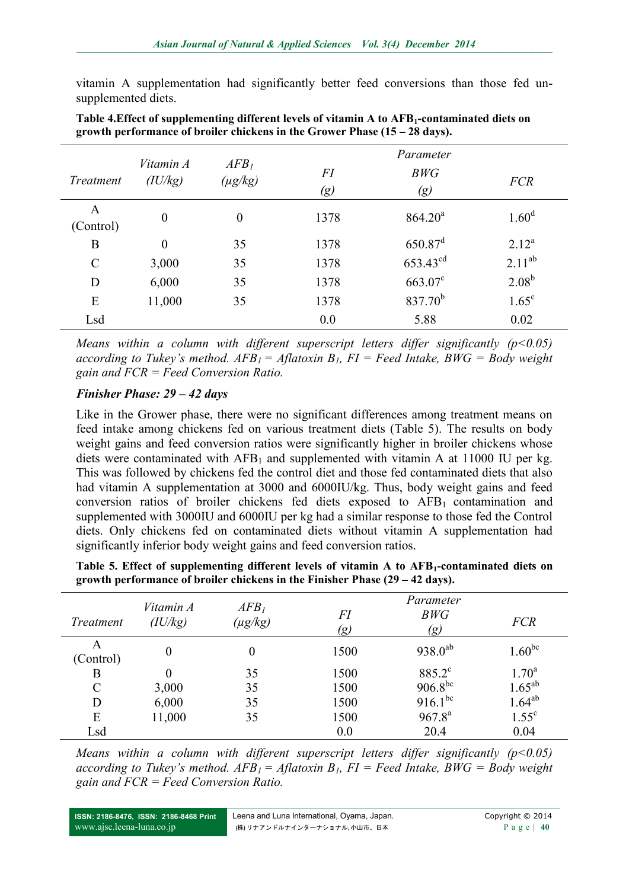vitamin A supplementation had significantly better feed conversions than those fed unsupplemented diets.

| <b>Treatment</b> | Vitamin A<br>(IU/kg) | AFB <sub>1</sub><br>$(\mu g/kg)$ | FI<br>$\left( g\right)$ | Parameter<br>BWG<br>$\left( g\right)$ | <b>FCR</b>        |
|------------------|----------------------|----------------------------------|-------------------------|---------------------------------------|-------------------|
| A<br>(Control)   | $\theta$             | $\boldsymbol{0}$                 | 1378                    | 864.20 <sup>a</sup>                   | 1.60 <sup>d</sup> |
| B                | $\overline{0}$       | 35                               | 1378                    | $650.87$ <sup>d</sup>                 | $2.12^{a}$        |
| $\mathcal{C}$    | 3,000                | 35                               | 1378                    | $653.43^{cd}$                         | $2.11^{ab}$       |
| D                | 6,000                | 35                               | 1378                    | $663.07^c$                            | $2.08^{b}$        |
| E                | 11,000               | 35                               | 1378                    | $837.70^{b}$                          | $1.65^{\circ}$    |
| Lsd              |                      |                                  | 0.0                     | 5.88                                  | 0.02              |

**Table 4.Effect of supplementing different levels of vitamin A to AFB1-contaminated diets on growth performance of broiler chickens in the Grower Phase (15 – 28 days).**

*Means within a column with different superscript letters differ significantly (p<0.05) according to Tukey's method.*  $AFB<sub>1</sub> = Aflatoxin B<sub>1</sub>$ *, FI = Feed Intake, BWG = Body weight gain and FCR = Feed Conversion Ratio.*

### *Finisher Phase: 29 – 42 days*

Like in the Grower phase, there were no significant differences among treatment means on feed intake among chickens fed on various treatment diets (Table 5). The results on body weight gains and feed conversion ratios were significantly higher in broiler chickens whose diets were contaminated with  $AFB_1$  and supplemented with vitamin A at 11000 IU per kg. This was followed by chickens fed the control diet and those fed contaminated diets that also had vitamin A supplementation at 3000 and 6000IU/kg. Thus, body weight gains and feed conversion ratios of broiler chickens fed diets exposed to  $AFB<sub>1</sub>$  contamination and supplemented with 3000IU and 6000IU per kg had a similar response to those fed the Control diets. Only chickens fed on contaminated diets without vitamin A supplementation had significantly inferior body weight gains and feed conversion ratios.

| Table 5. Effect of supplementing different levels of vitamin A to AFB <sub>1</sub> -contaminated diets on |  |
|-----------------------------------------------------------------------------------------------------------|--|
| growth performance of broiler chickens in the Finisher Phase $(29 - 42 \text{ days})$ .                   |  |

| <b>Treatment</b> | Vitamin A<br>(IU/kg) | AFB <sub>1</sub><br>$(\mu g/kg)$ | FI<br>(g) | Parameter<br>BWG<br>(g) | <b>FCR</b>                 |
|------------------|----------------------|----------------------------------|-----------|-------------------------|----------------------------|
| A<br>(Control)   | $\theta$             | 0                                | 1500      | $938.0^{ab}$            | $1.60^{bc}$                |
| B                | 0                    | 35                               | 1500      | 885.2°                  | $1.70^a$                   |
| $\mathcal{C}$    | 3,000                | 35                               | 1500      | $906.8^{bc}$            | $1.65^{ab}$<br>$1.64^{ab}$ |
| D                | 6,000                | 35                               | 1500      | $916.1^{bc}$            |                            |
| E                | 11,000               | 35                               | 1500      | $967.8^{a}$             | $1.55^{\circ}$             |
| Lsd              |                      |                                  | 0.0       | 20.4                    | 0.04                       |

*Means within a column with different superscript letters differ significantly (p<0.05) according to Tukey's method.*  $AFB<sub>1</sub> = Aflatoxin B<sub>1</sub>$ *,*  $FI = Feed Intake$ *,*  $BWG = Body weight$ *gain and FCR = Feed Conversion Ratio.*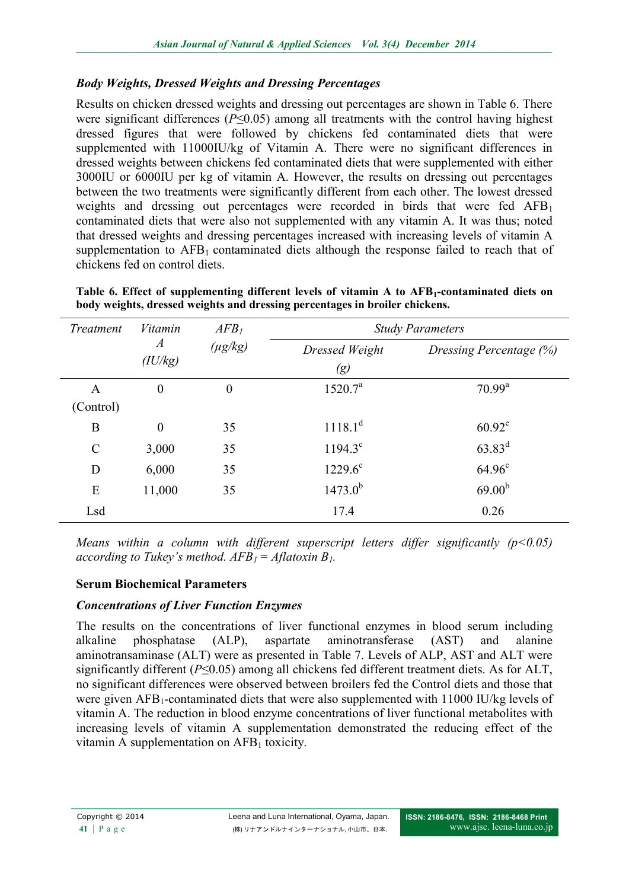### *Body Weights, Dressed Weights and Dressing Percentages*

Results on chicken dressed weights and dressing out percentages are shown in Table 6. There were significant differences (*P*≤0.05) among all treatments with the control having highest dressed figures that were followed by chickens fed contaminated diets that were supplemented with 11000IU/kg of Vitamin A. There were no significant differences in dressed weights between chickens fed contaminated diets that were supplemented with either 3000IU or 6000IU per kg of vitamin A. However, the results on dressing out percentages between the two treatments were significantly different from each other. The lowest dressed weights and dressing out percentages were recorded in birds that were fed  $AFB<sub>1</sub>$ contaminated diets that were also not supplemented with any vitamin A. It was thus; noted that dressed weights and dressing percentages increased with increasing levels of vitamin A supplementation to  $AFB<sub>1</sub>$  contaminated diets although the response failed to reach that of chickens fed on control diets.

| Treatment      | Vitamin                     | AFB <sub>1</sub> | <b>Study Parameters</b>             |                         |  |  |
|----------------|-----------------------------|------------------|-------------------------------------|-------------------------|--|--|
|                | $\boldsymbol{A}$<br>(IU/kg) | $(\mu g/kg)$     | Dressed Weight<br>$\left( g\right)$ | Dressing Percentage (%) |  |  |
| A<br>(Control) | $\boldsymbol{0}$            | $\boldsymbol{0}$ | 1520.7 <sup>a</sup>                 | $70.99^{\rm a}$         |  |  |
| B              | $\boldsymbol{0}$            | 35               | $1118.1^d$                          | $60.92^e$               |  |  |
| $\mathcal{C}$  | 3,000                       | 35               | $1194.3^{\circ}$                    | $63.83^d$               |  |  |
| D              | 6,000                       | 35               | $1229.6^{\circ}$                    | $64.96^{\circ}$         |  |  |
| E              | 11,000                      | 35               | $1473.0^{b}$                        | 69.00 <sup>b</sup>      |  |  |
| Lsd            |                             |                  | 17.4                                | 0.26                    |  |  |

**Table 6. Effect of supplementing different levels of vitamin A to AFB1-contaminated diets on body weights, dressed weights and dressing percentages in broiler chickens.**

*Means within a column with different superscript letters differ significantly (p<0.05) according to Tukey's method.*  $AFB<sub>1</sub> = Aflatoxin B<sub>1</sub>$ *.* 

### **Serum Biochemical Parameters**

### *Concentrations of Liver Function Enzymes*

The results on the concentrations of liver functional enzymes in blood serum including alkaline phosphatase (ALP), aspartate aminotransferase (AST) and alanine aminotransaminase (ALT) were as presented in Table 7. Levels of ALP, AST and ALT were significantly different (*P*≤0.05) among all chickens fed different treatment diets. As for ALT, no significant differences were observed between broilers fed the Control diets and those that were given AFB1-contaminated diets that were also supplemented with 11000 IU/kg levels of vitamin A. The reduction in blood enzyme concentrations of liver functional metabolites with increasing levels of vitamin A supplementation demonstrated the reducing effect of the vitamin A supplementation on  $AFB<sub>1</sub>$  toxicity.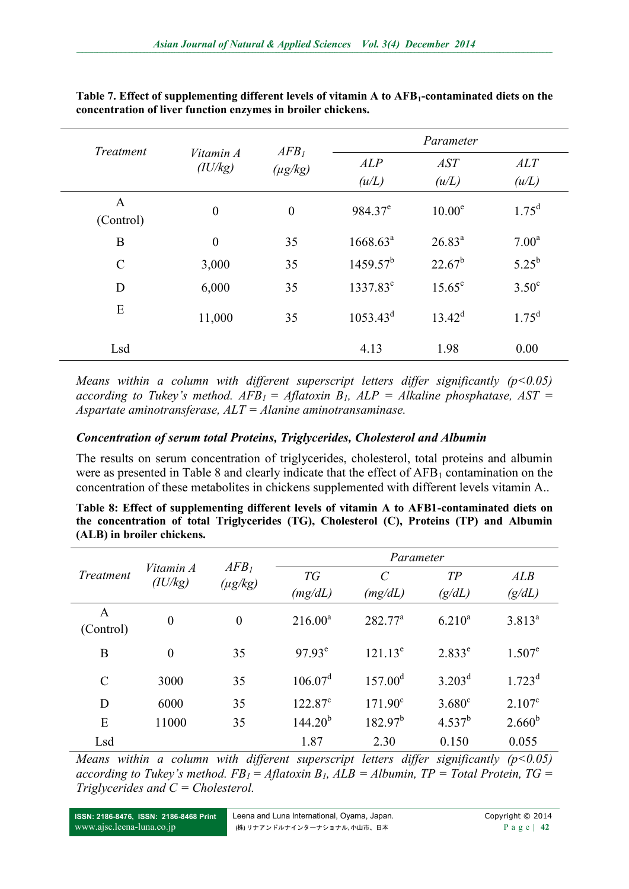| Treatment                 |                  | AFB <sub>I</sub><br>Vitamin A<br>$(\mu g/kg)$ | Parameter            |                    |                   |  |
|---------------------------|------------------|-----------------------------------------------|----------------------|--------------------|-------------------|--|
|                           | (IU/kg)          |                                               | ALP<br>(u/L)         | AST<br>(u/L)       | ALT<br>(u/L)      |  |
| $\mathbf{A}$<br>(Control) | $\boldsymbol{0}$ | $\boldsymbol{0}$                              | $984.37^e$           | 10.00 <sup>e</sup> | $1.75^d$          |  |
| B                         | $\boldsymbol{0}$ | 35                                            | 1668.63 <sup>a</sup> | $26.83^{a}$        | 7.00 <sup>a</sup> |  |
| $\mathcal{C}$             | 3,000            | 35                                            | $1459.57^{b}$        | $22.67^b$          | $5.25^{b}$        |  |
| D                         | 6,000            | 35                                            | 1337.83°             | $15.65^{\circ}$    | $3.50^{\circ}$    |  |
| E                         | 11,000           | 35                                            | $1053.43^d$          | $13.42^d$          | $1.75^d$          |  |
| Lsd                       |                  |                                               | 4.13                 | 1.98               | 0.00              |  |

**Table 7. Effect of supplementing different levels of vitamin A to AFB1-contaminated diets on the concentration of liver function enzymes in broiler chickens.**

*Means within a column with different superscript letters differ significantly (p<0.05) according to Tukey's method.*  $AFB_1 = Aflatoxin B_1$ *,*  $ALP = Alkaline phosphatase$ *,*  $AST =$ *Aspartate aminotransferase, ALT = Alanine aminotransaminase.*

#### *Concentration of serum total Proteins, Triglycerides, Cholesterol and Albumin*

The results on serum concentration of triglycerides, cholesterol, total proteins and albumin were as presented in Table 8 and clearly indicate that the effect of  $AFB<sub>1</sub>$  contamination on the concentration of these metabolites in chickens supplemented with different levels vitamin A..

**Table 8: Effect of supplementing different levels of vitamin A to AFB1-contaminated diets on the concentration of total Triglycerides (TG), Cholesterol (C), Proteins (TP) and Albumin (ALB) in broiler chickens.**

| Treatment      | Vitamin A<br>(IU/kg) | AFB <sub>1</sub><br>$(\mu g/kg)$ | Parameter        |                  |                 |                 |
|----------------|----------------------|----------------------------------|------------------|------------------|-----------------|-----------------|
|                |                      |                                  | TG               | $\mathcal{C}$    | TP              | ALB             |
|                |                      |                                  | (mg/dL)          | (mg/dL)          | (g/dL)          | (g/dL)          |
| A<br>(Control) | $\boldsymbol{0}$     | $\overline{0}$                   | $216.00^a$       | $282.77^a$       | $6.210^{a}$     | $3.813^{a}$     |
| B              | $\overline{0}$       | 35                               | $97.93^e$        | $121.13^e$       | $2.833^e$       | $1.507^e$       |
| $\mathcal{C}$  | 3000                 | 35                               | $106.07^d$       | $157.00^{\rm d}$ | $3.203^{\rm d}$ | $1.723^d$       |
| D              | 6000                 | 35                               | $122.87^{\circ}$ | $171.90^{\circ}$ | $3.680^{\circ}$ | $2.107^{\circ}$ |
| E              | 11000                | 35                               | $144.20^{b}$     | $182.97^b$       | $4.537^{b}$     | $2.660^{b}$     |
| Lsd            |                      |                                  | 1.87             | 2.30             | 0.150           | 0.055           |

*Means within a column with different superscript letters differ significantly (p<0.05) according to Tukey's method.*  $FB<sub>l</sub> = Aflatoxin B<sub>l</sub>$ ,  $ALB = Albumin$ ,  $TP = Total Protein$ ,  $TG =$ *Triglycerides and C = Cholesterol.*

**ISSN: 2186-8476, ISSN: 2186-8468 Print** [www.ajsc.leena-luna.co.jp](http://www.ajssh.leena-luna.co.jp/)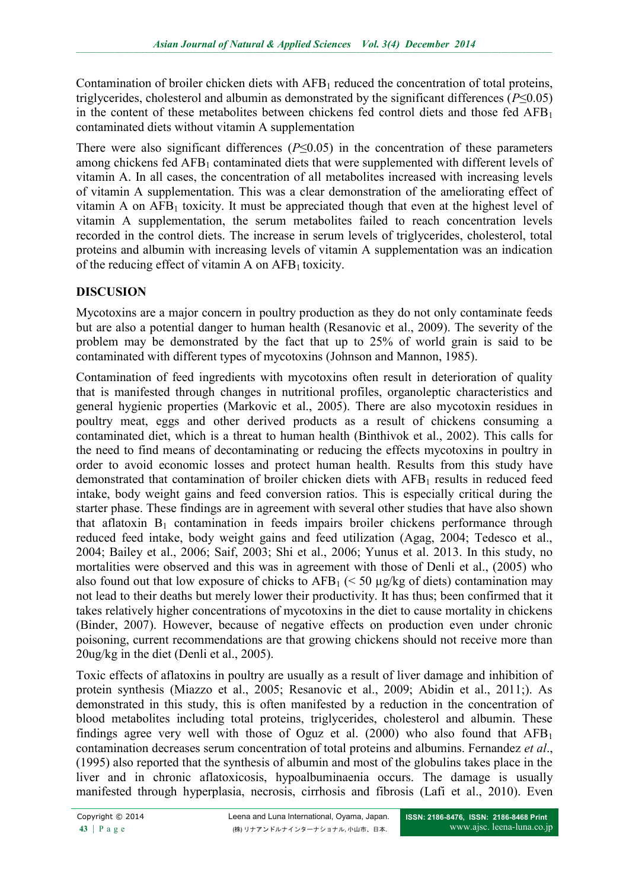Contamination of broiler chicken diets with  $AFB<sub>1</sub>$  reduced the concentration of total proteins, triglycerides, cholesterol and albumin as demonstrated by the significant differences (*P*≤0.05) in the content of these metabolites between chickens fed control diets and those fed  $AFB<sub>1</sub>$ contaminated diets without vitamin A supplementation

There were also significant differences  $(P \le 0.05)$  in the concentration of these parameters among chickens fed AFB<sub>1</sub> contaminated diets that were supplemented with different levels of vitamin A. In all cases, the concentration of all metabolites increased with increasing levels of vitamin A supplementation. This was a clear demonstration of the ameliorating effect of vitamin A on  $AFB<sub>1</sub>$  toxicity. It must be appreciated though that even at the highest level of vitamin A supplementation, the serum metabolites failed to reach concentration levels recorded in the control diets. The increase in serum levels of triglycerides, cholesterol, total proteins and albumin with increasing levels of vitamin A supplementation was an indication of the reducing effect of vitamin A on  $AFB<sub>1</sub>$  toxicity.

# **DISCUSION**

Mycotoxins are a major concern in poultry production as they do not only contaminate feeds but are also a potential danger to human health (Resanovic et al., 2009). The severity of the problem may be demonstrated by the fact that up to 25% of world grain is said to be contaminated with different types of mycotoxins (Johnson and Mannon, 1985).

Contamination of feed ingredients with mycotoxins often result in deterioration of quality that is manifested through changes in nutritional profiles, organoleptic characteristics and general hygienic properties (Markovic et al., 2005). There are also mycotoxin residues in poultry meat, eggs and other derived products as a result of chickens consuming a contaminated diet, which is a threat to human health (Binthivok et al., 2002). This calls for the need to find means of decontaminating or reducing the effects mycotoxins in poultry in order to avoid economic losses and protect human health. Results from this study have demonstrated that contamination of broiler chicken diets with  $AFB<sub>1</sub>$  results in reduced feed intake, body weight gains and feed conversion ratios. This is especially critical during the starter phase. These findings are in agreement with several other studies that have also shown that aflatoxin  $B_1$  contamination in feeds impairs broiler chickens performance through reduced feed intake, body weight gains and feed utilization (Agag, 2004; Tedesco et al., 2004; Bailey et al., 2006; Saif, 2003; Shi et al., 2006; Yunus et al. 2013. In this study, no mortalities were observed and this was in agreement with those of Denli et al., (2005) who also found out that low exposure of chicks to  $AFB_1$  (< 50 µg/kg of diets) contamination may not lead to their deaths but merely lower their productivity. It has thus; been confirmed that it takes relatively higher concentrations of mycotoxins in the diet to cause mortality in chickens (Binder, 2007). However, because of negative effects on production even under chronic poisoning, current recommendations are that growing chickens should not receive more than 20ug/kg in the diet (Denli et al., 2005).

Toxic effects of aflatoxins in poultry are usually as a result of liver damage and inhibition of protein synthesis (Miazzo et al., 2005; Resanovic et al., 2009; Abidin et al., 2011;). As demonstrated in this study, this is often manifested by a reduction in the concentration of blood metabolites including total proteins, triglycerides, cholesterol and albumin. These findings agree very well with those of Oguz et al. (2000) who also found that  $AFB<sub>1</sub>$ contamination decreases serum concentration of total proteins and albumins. Fernandez *et al*., (1995) also reported that the synthesis of albumin and most of the globulins takes place in the liver and in chronic aflatoxicosis, hypoalbuminaenia occurs. The damage is usually manifested through hyperplasia, necrosis, cirrhosis and fibrosis (Lafi et al., 2010). Even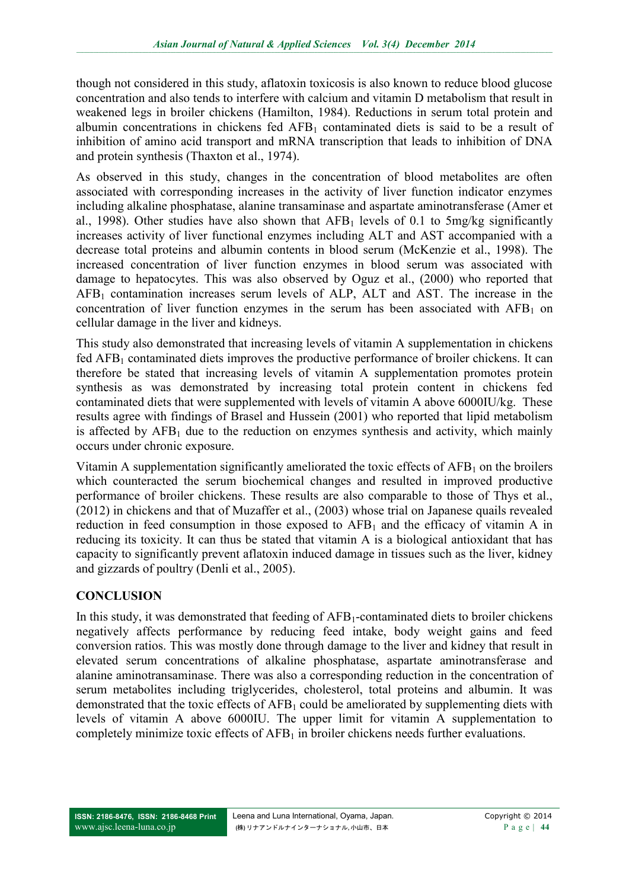though not considered in this study, aflatoxin toxicosis is also known to reduce blood glucose concentration and also tends to interfere with calcium and vitamin D metabolism that result in weakened legs in broiler chickens (Hamilton, 1984). Reductions in serum total protein and albumin concentrations in chickens fed  $AFB<sub>1</sub>$  contaminated diets is said to be a result of inhibition of amino acid transport and mRNA transcription that leads to inhibition of DNA and protein synthesis (Thaxton et al., 1974).

As observed in this study, changes in the concentration of blood metabolites are often associated with corresponding increases in the activity of liver function indicator enzymes including alkaline phosphatase, alanine transaminase and aspartate aminotransferase (Amer et al., 1998). Other studies have also shown that  $AFB<sub>1</sub>$  levels of 0.1 to 5mg/kg significantly increases activity of liver functional enzymes including ALT and AST accompanied with a decrease total proteins and albumin contents in blood serum (McKenzie et al., 1998). The increased concentration of liver function enzymes in blood serum was associated with damage to hepatocytes. This was also observed by Oguz et al., (2000) who reported that  $AFB<sub>1</sub>$  contamination increases serum levels of ALP, ALT and AST. The increase in the concentration of liver function enzymes in the serum has been associated with  $AFB<sub>1</sub>$  on cellular damage in the liver and kidneys.

This study also demonstrated that increasing levels of vitamin A supplementation in chickens fed  $AFB<sub>1</sub>$  contaminated diets improves the productive performance of broiler chickens. It can therefore be stated that increasing levels of vitamin A supplementation promotes protein synthesis as was demonstrated by increasing total protein content in chickens fed contaminated diets that were supplemented with levels of vitamin A above 6000IU/kg. These results agree with findings of Brasel and Hussein (2001) who reported that lipid metabolism is affected by  $AFB<sub>1</sub>$  due to the reduction on enzymes synthesis and activity, which mainly occurs under chronic exposure.

Vitamin A supplementation significantly ameliorated the toxic effects of  $AFB<sub>1</sub>$  on the broilers which counteracted the serum biochemical changes and resulted in improved productive performance of broiler chickens. These results are also comparable to those of Thys et al., (2012) in chickens and that of Muzaffer et al., (2003) whose trial on Japanese quails revealed reduction in feed consumption in those exposed to  $AFB<sub>1</sub>$  and the efficacy of vitamin A in reducing its toxicity. It can thus be stated that vitamin A is a biological antioxidant that has capacity to significantly prevent aflatoxin induced damage in tissues such as the liver, kidney and gizzards of poultry (Denli et al., 2005).

### **CONCLUSION**

In this study, it was demonstrated that feeding of AFB<sub>1</sub>-contaminated diets to broiler chickens negatively affects performance by reducing feed intake, body weight gains and feed conversion ratios. This was mostly done through damage to the liver and kidney that result in elevated serum concentrations of alkaline phosphatase, aspartate aminotransferase and alanine aminotransaminase. There was also a corresponding reduction in the concentration of serum metabolites including triglycerides, cholesterol, total proteins and albumin. It was demonstrated that the toxic effects of  $AFB<sub>1</sub>$  could be ameliorated by supplementing diets with levels of vitamin A above 6000IU. The upper limit for vitamin A supplementation to completely minimize toxic effects of  $AFB<sub>1</sub>$  in broiler chickens needs further evaluations.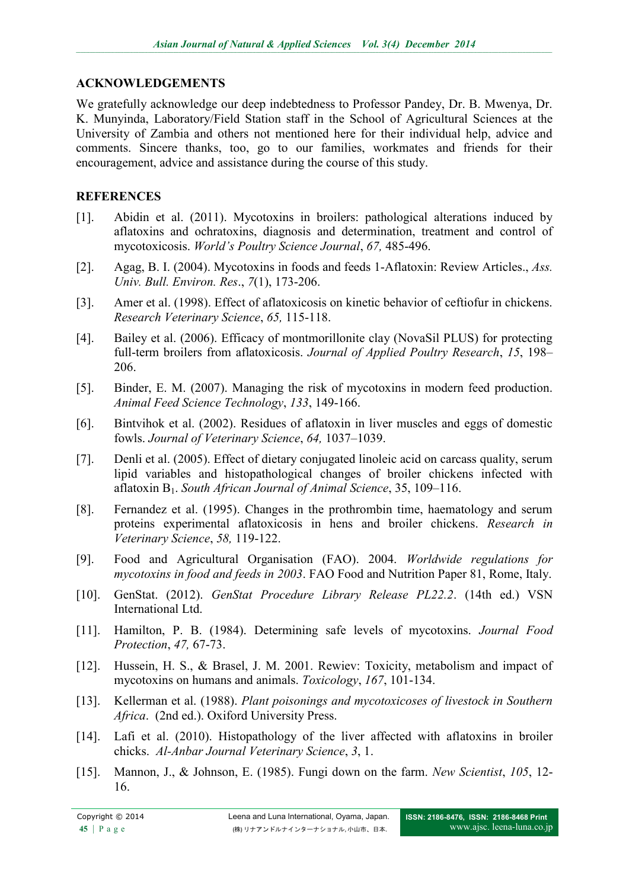### **ACKNOWLEDGEMENTS**

We gratefully acknowledge our deep indebtedness to Professor Pandey, Dr. B. Mwenya, Dr. K. Munyinda, Laboratory/Field Station staff in the School of Agricultural Sciences at the University of Zambia and others not mentioned here for their individual help, advice and comments. Sincere thanks, too, go to our families, workmates and friends for their encouragement, advice and assistance during the course of this study.

## **REFERENCES**

- [1]. Abidin et al. (2011). Mycotoxins in broilers: pathological alterations induced by aflatoxins and ochratoxins, diagnosis and determination, treatment and control of mycotoxicosis. *World's Poultry Science Journal*, *67,* 485-496.
- [2]. Agag, B. I. (2004). Mycotoxins in foods and feeds 1-Aflatoxin: Review Articles., *Ass. Univ. Bull. Environ. Res*., *7*(1), 173-206.
- [3]. Amer et al. (1998). Effect of aflatoxicosis on kinetic behavior of ceftiofur in chickens. *Research Veterinary Science*, *65,* 115-118.
- [4]. Bailey et al. (2006). Efficacy of montmorillonite clay (NovaSil PLUS) for protecting full-term broilers from aflatoxicosis. *Journal of Applied Poultry Research*, *15*, 198– 206.
- [5]. Binder, E. M. (2007). Managing the risk of mycotoxins in modern feed production. *Animal Feed Science Technology*, *133*, 149-166.
- [6]. Bintvihok et al. (2002). Residues of aflatoxin in liver muscles and eggs of domestic fowls. *Journal of Veterinary Science*, *64,* 1037–1039.
- [7]. Denli et al. (2005). Effect of dietary conjugated linoleic acid on carcass quality, serum lipid variables and histopathological changes of broiler chickens infected with aflatoxin B1. *South African Journal of Animal Science*, 35, 109–116.
- [8]. Fernandez et al. (1995). Changes in the prothrombin time, haematology and serum proteins experimental aflatoxicosis in hens and broiler chickens. *Research in Veterinary Science*, *58,* 119-122.
- [9]. Food and Agricultural Organisation (FAO). 2004. *Worldwide regulations for mycotoxins in food and feeds in 2003*. FAO Food and Nutrition Paper 81, Rome, Italy.
- [10]. GenStat. (2012). *GenStat Procedure Library Release PL22.2*. (14th ed.) VSN International Ltd.
- [11]. Hamilton, P. B. (1984). Determining safe levels of mycotoxins. *Journal Food Protection*, *47,* 67-73.
- [12]. Hussein, H. S., & Brasel, J. M. 2001. Rewiev: Toxicity, metabolism and impact of mycotoxins on humans and animals. *Toxicology*, *167*, 101-134.
- [13]. Kellerman et al. (1988). *Plant poisonings and mycotoxicoses of livestock in Southern Africa*. (2nd ed.). Oxiford University Press.
- [14]. Lafi et al. (2010). Histopathology of the liver affected with aflatoxins in broiler chicks. *Al-Anbar Journal Veterinary Science*, *3*, 1.
- [15]. Mannon, J., & Johnson, E. (1985). Fungi down on the farm. *New Scientist*, *105*, 12- 16.